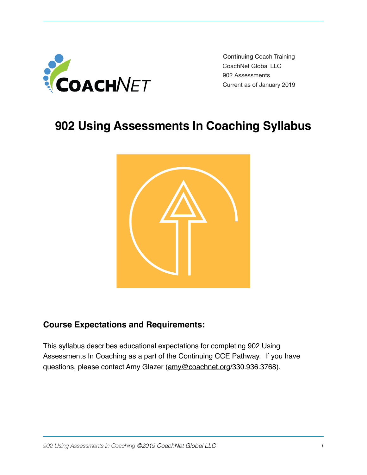

 Continuing Coach Training CoachNet Global LLC 902 Assessments Current as of January 2019

# **902 Using Assessments In Coaching Syllabus**



# **Course Expectations and Requirements:**

This syllabus describes educational expectations for completing 902 Using Assessments In Coaching as a part of the Continuing CCE Pathway. If you have questions, please contact Amy Glazer [\(amy@coachnet.org](mailto:amy@coachnet.org)/330.936.3768).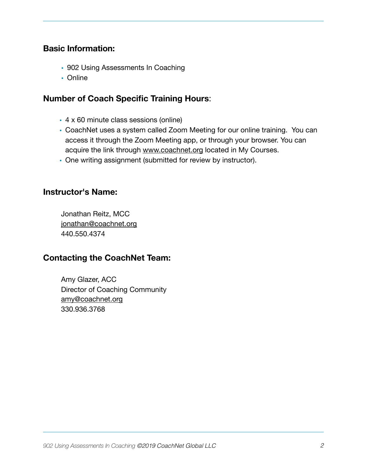#### **Basic Information:**

- 902 Using Assessments In Coaching
- Online

## **Number of Coach Specific Training Hours**:

- 4 x 60 minute class sessions (online)
- CoachNet uses a system called Zoom Meeting for our online training. You can access it through the Zoom Meeting app, or through your browser. You can acquire the link through [www.coachnet.org](http://www.coachnet.org) located in My Courses.
- One writing assignment (submitted for review by instructor).

## **Instructor's Name:**

Jonathan Reitz, MCC [jonathan@coachnet.org](mailto:jonathan@coachnet.org) 440.550.4374

## **Contacting the CoachNet Team:**

Amy Glazer, ACC Director of Coaching Community [amy@coachnet.org](mailto:amy@coachnet.org) 330.936.3768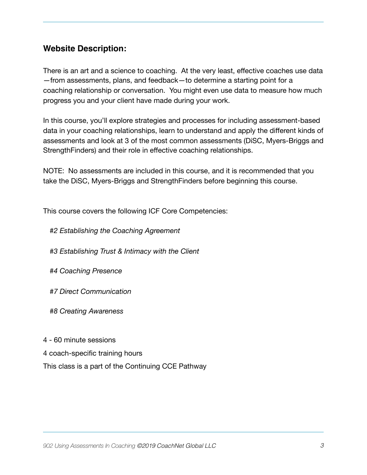## **Website Description:**

There is an art and a science to coaching. At the very least, effective coaches use data —from assessments, plans, and feedback—to determine a starting point for a coaching relationship or conversation. You might even use data to measure how much progress you and your client have made during your work.

In this course, you'll explore strategies and processes for including assessment-based data in your coaching relationships, learn to understand and apply the different kinds of assessments and look at 3 of the most common assessments (DiSC, Myers-Briggs and StrengthFinders) and their role in effective coaching relationships.

NOTE: No assessments are included in this course, and it is recommended that you take the DiSC, Myers-Briggs and StrengthFinders before beginning this course.

This course covers the following ICF Core Competencies:

- *#2 Establishing the Coaching Agreement*
- *#3 Establishing Trust & Intimacy with the Client*
- *#4 Coaching Presence*
- *#7 Direct Communication*
- *#8 Creating Awareness*
- 4 60 minute sessions
- 4 coach-specific training hours
- This class is a part of the Continuing CCE Pathway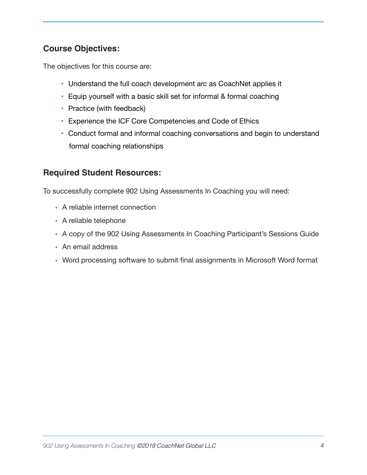# **Course Objectives:**

The objectives for this course are:

- Understand the full coach development arc as CoachNet applies it
- Equip yourself with a basic skill set for informal & formal coaching
- Practice (with feedback)
- Experience the ICF Core Competencies and Code of Ethics
- Conduct formal and informal coaching conversations and begin to understand formal coaching relationships

#### **Required Student Resources:**

To successfully complete 902 Using Assessments In Coaching you will need:

- A reliable internet connection
- A reliable telephone
- A copy of the 902 Using Assessments In Coaching Participant's Sessions Guide
- An email address
- Word processing software to submit final assignments in Microsoft Word format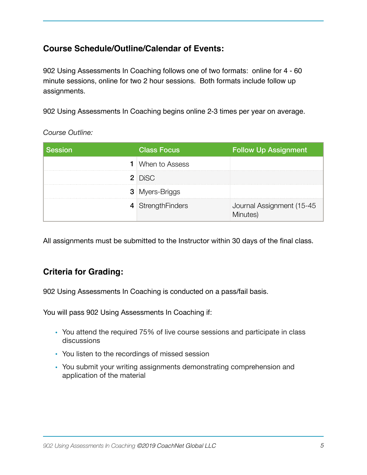# **Course Schedule/Outline/Calendar of Events:**

902 Using Assessments In Coaching follows one of two formats: online for 4 - 60 minute sessions, online for two 2 hour sessions. Both formats include follow up assignments.

902 Using Assessments In Coaching begins online 2-3 times per year on average.

| <b>Session</b> | <b>Class Focus</b>    | <b>Follow Up Assignment</b>           |
|----------------|-----------------------|---------------------------------------|
|                | When to Assess        |                                       |
|                | $2$ DiSC              |                                       |
|                | <b>3</b> Myers-Briggs |                                       |
|                | 4 StrengthFinders     | Journal Assignment (15-45<br>Minutes) |

*Course Outline:* 

All assignments must be submitted to the Instructor within 30 days of the final class.

# **Criteria for Grading:**

902 Using Assessments In Coaching is conducted on a pass/fail basis.

You will pass 902 Using Assessments In Coaching if:

- You attend the required 75% of live course sessions and participate in class discussions
- You listen to the recordings of missed session
- You submit your writing assignments demonstrating comprehension and application of the material